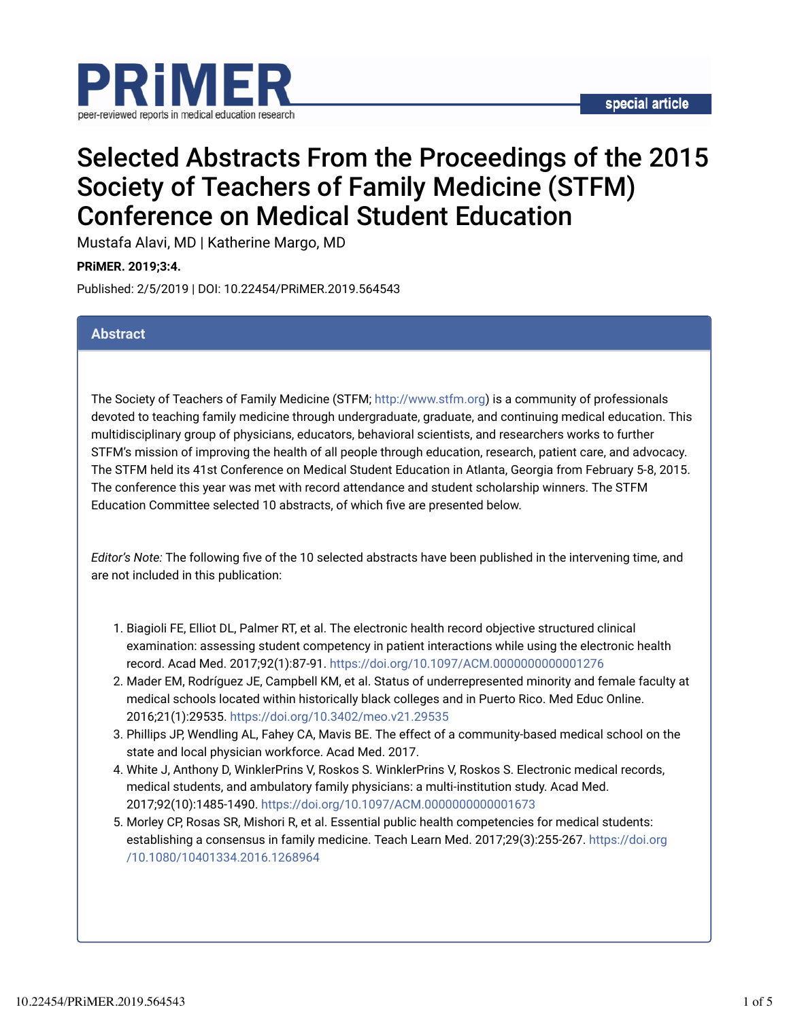

# Selected Abstracts From the Proceedings of the 2015 Society of Teachers of Family Medicine (STFM) Conference on Medical Student Education

Mustafa Alavi, MD | Katherine Margo, MD

**PRiMER. 2019;3:4.**

Published: 2/5/2019 | DOI: 10.22454/PRiMER.2019.564543

### **Abstract**

The Society of Teachers of Family Medicine (STFM; http://www.stfm.org) is a community of professionals devoted to teaching family medicine through undergraduate, graduate, and continuing medical education. This multidisciplinary group of physicians, educators, behavioral scientists, and researchers works to further STFM's mission of improving the health of all people through education, research, patient care, and advocacy. The STFM held its 41st Conference on Medical Student Education in Atlanta, Georgia from February 5-8, 2015. The conference this year was met with record attendance and student scholarship winners. The STFM Education Committee selected 10 abstracts, of which five are presented below.

*Editor's Note:* The following five of the 10 selected abstracts have been published in the intervening time, and are not included in this publication:

- 1. Biagioli FE, Elliot DL, Palmer RT, et al. The electronic health record objective structured clinical examination: assessing student competency in patient interactions while using the electronic health record. Acad Med. 2017;92(1):87-91. https://doi.org/10.1097/ACM.0000000000001276
- 2. Mader EM, Rodríguez JE, Campbell KM, et al. Status of underrepresented minority and female faculty at medical schools located within historically black colleges and in Puerto Rico. Med Educ Online. 2016;21(1):29535. https://doi.org/10.3402/meo.v21.29535
- 3. Phillips JP, Wendling AL, Fahey CA, Mavis BE. The effect of a community-based medical school on the state and local physician workforce. Acad Med. 2017.
- 4. White J, Anthony D, WinklerPrins V, Roskos S. WinklerPrins V, Roskos S. Electronic medical records, medical students, and ambulatory family physicians: a multi-institution study. Acad Med. 2017;92(10):1485-1490. https://doi.org/10.1097/ACM.0000000000001673
- 5. Morley CP, Rosas SR, Mishori R, et al. Essential public health competencies for medical students: establishing a consensus in family medicine. Teach Learn Med. 2017;29(3):255-267. https://doi.org /10.1080/10401334.2016.1268964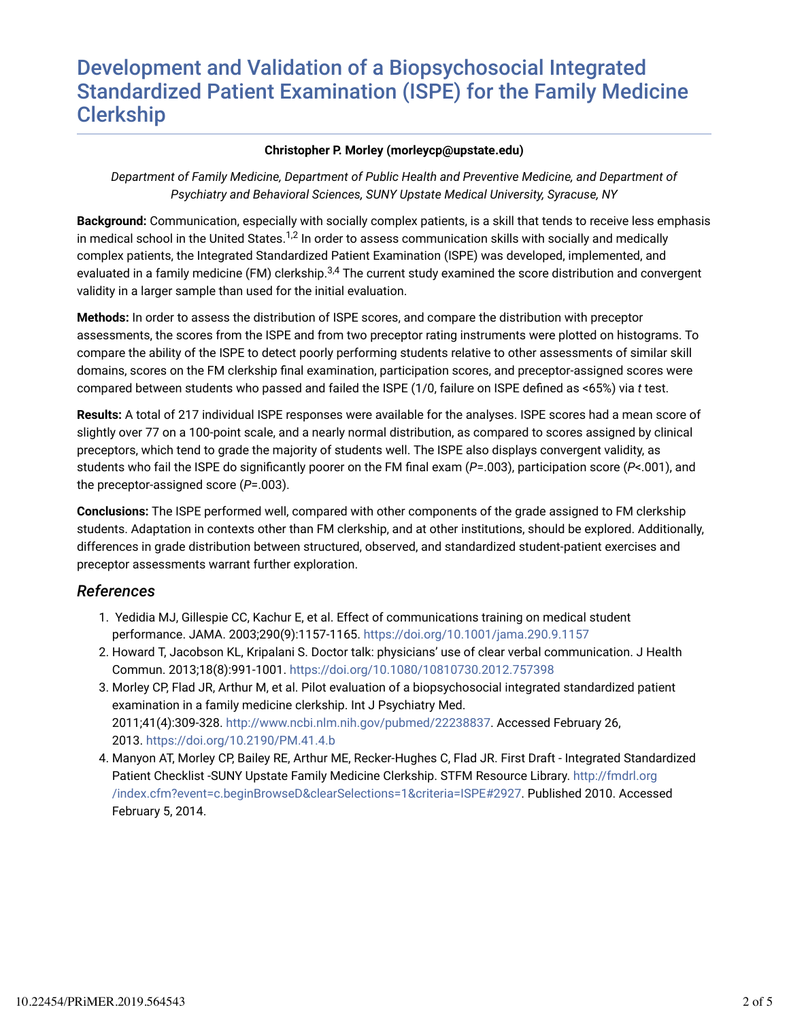# Development and Validation of a Biopsychosocial Integrated Standardized Patient Examination (ISPE) for the Family Medicine Clerkship

#### **Christopher P. Morley (morleycp@upstate.edu)**

*Department of Family Medicine, Department of Public Health and Preventive Medicine, and Department of Psychiatry and Behavioral Sciences, SUNY Upstate Medical University, Syracuse, NY*

**Background:** Communication, especially with socially complex patients, is a skill that tends to receive less emphasis in medical school in the United States. $^{1,2}$  In order to assess communication skills with socially and medically complex patients, the Integrated Standardized Patient Examination (ISPE) was developed, implemented, and evaluated in a family medicine (FM) clerkship.<sup>3,4</sup> The current study examined the score distribution and convergent validity in a larger sample than used for the initial evaluation.

**Methods:** In order to assess the distribution of ISPE scores, and compare the distribution with preceptor assessments, the scores from the ISPE and from two preceptor rating instruments were plotted on histograms. To compare the ability of the ISPE to detect poorly performing students relative to other assessments of similar skill domains, scores on the FM clerkship final examination, participation scores, and preceptor-assigned scores were compared between students who passed and failed the ISPE (1/0, failure on ISPE defined as <65%) via *t* test.

**Results:** A total of 217 individual ISPE responses were available for the analyses. ISPE scores had a mean score of slightly over 77 on a 100-point scale, and a nearly normal distribution, as compared to scores assigned by clinical preceptors, which tend to grade the majority of students well. The ISPE also displays convergent validity, as students who fail the ISPE do significantly poorer on the FM final exam (P=.003), participation score (P<.001), and the preceptor-assigned score (*P*=.003).

**Conclusions:** The ISPE performed well, compared with other components of the grade assigned to FM clerkship students. Adaptation in contexts other than FM clerkship, and at other institutions, should be explored. Additionally, differences in grade distribution between structured, observed, and standardized student-patient exercises and preceptor assessments warrant further exploration.

## *References*

- 1. Yedidia MJ, Gillespie CC, Kachur E, et al. Effect of communications training on medical student performance. JAMA. 2003;290(9):1157-1165. https://doi.org/10.1001/jama.290.9.1157
- 2. Howard T, Jacobson KL, Kripalani S. Doctor talk: physicians' use of clear verbal communication. J Health Commun. 2013;18(8):991-1001. https://doi.org/10.1080/10810730.2012.757398
- 3. Morley CP, Flad JR, Arthur M, et al. Pilot evaluation of a biopsychosocial integrated standardized patient examination in a family medicine clerkship. Int J Psychiatry Med. 2011;41(4):309-328. http://www.ncbi.nlm.nih.gov/pubmed/22238837. Accessed February 26, 2013. https://doi.org/10.2190/PM.41.4.b
- 4. Manyon AT, Morley CP, Bailey RE, Arthur ME, Recker-Hughes C, Flad JR. First Draft Integrated Standardized Patient Checklist -SUNY Upstate Family Medicine Clerkship. STFM Resource Library. http://fmdrl.org /index.cfm?event=c.beginBrowseD&clearSelections=1&criteria=ISPE#2927. Published 2010. Accessed February 5, 2014.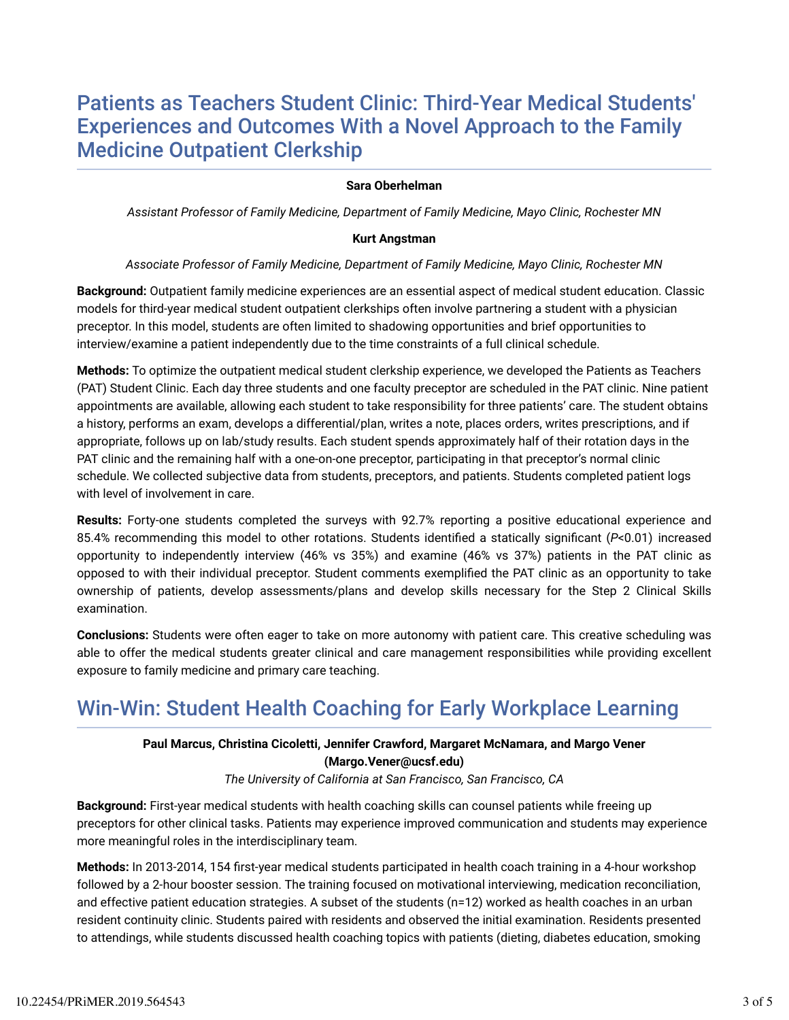# Patients as Teachers Student Clinic: Third-Year Medical Students' Experiences and Outcomes With a Novel Approach to the Family Medicine Outpatient Clerkship

#### **Sara Oberhelman**

*Assistant Professor of Family Medicine, Department of Family Medicine, Mayo Clinic, Rochester MN*

#### **Kurt Angstman**

#### *Associate Professor of Family Medicine, Department of Family Medicine, Mayo Clinic, Rochester MN*

**Background:** Outpatient family medicine experiences are an essential aspect of medical student education. Classic models for third-year medical student outpatient clerkships often involve partnering a student with a physician preceptor. In this model, students are often limited to shadowing opportunities and brief opportunities to interview/examine a patient independently due to the time constraints of a full clinical schedule.

**Methods:** To optimize the outpatient medical student clerkship experience, we developed the Patients as Teachers (PAT) Student Clinic. Each day three students and one faculty preceptor are scheduled in the PAT clinic. Nine patient appointments are available, allowing each student to take responsibility for three patients' care. The student obtains a history, performs an exam, develops a differential/plan, writes a note, places orders, writes prescriptions, and if appropriate, follows up on lab/study results. Each student spends approximately half of their rotation days in the PAT clinic and the remaining half with a one-on-one preceptor, participating in that preceptor's normal clinic schedule. We collected subjective data from students, preceptors, and patients. Students completed patient logs with level of involvement in care.

**Results:** Forty-one students completed the surveys with 92.7% reporting a positive educational experience and 85.4% recommending this model to other rotations. Students identified a statically significant (*P<*0.01) increased opportunity to independently interview (46% vs 35%) and examine (46% vs 37%) patients in the PAT clinic as opposed to with their individual preceptor. Student comments exemplified the PAT clinic as an opportunity to take ownership of patients, develop assessments/plans and develop skills necessary for the Step 2 Clinical Skills examination.

**Conclusions:** Students were often eager to take on more autonomy with patient care. This creative scheduling was able to offer the medical students greater clinical and care management responsibilities while providing excellent exposure to family medicine and primary care teaching.

# Win-Win: Student Health Coaching for Early Workplace Learning

### **Paul Marcus, Christina Cicoletti, Jennifer Crawford, Margaret McNamara, and Margo Vener (Margo.Vener@ucsf.edu)**

*The University of California at San Francisco, San Francisco, CA*

**Background:** First-year medical students with health coaching skills can counsel patients while freeing up preceptors for other clinical tasks. Patients may experience improved communication and students may experience more meaningful roles in the interdisciplinary team.

**Methods:** In 2013-2014, 154 first-year medical students participated in health coach training in a 4-hour workshop followed by a 2-hour booster session. The training focused on motivational interviewing, medication reconciliation, and effective patient education strategies. A subset of the students (n=12) worked as health coaches in an urban resident continuity clinic. Students paired with residents and observed the initial examination. Residents presented to attendings, while students discussed health coaching topics with patients (dieting, diabetes education, smoking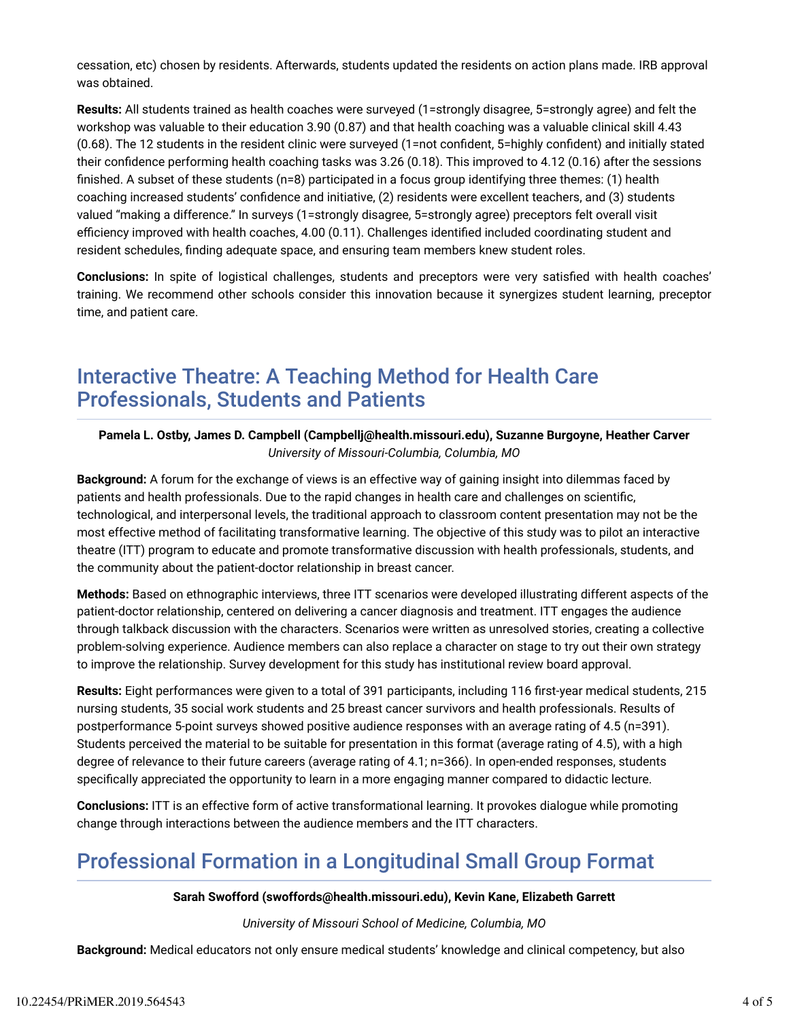cessation, etc) chosen by residents. Afterwards, students updated the residents on action plans made. IRB approval was obtained.

**Results:** All students trained as health coaches were surveyed (1=strongly disagree, 5=strongly agree) and felt the workshop was valuable to their education 3.90 (0.87) and that health coaching was a valuable clinical skill 4.43  $(0.68)$ . The 12 students in the resident clinic were surveyed  $(1)$ =not confident, 5=highly confident) and initially stated their confidence performing health coaching tasks was  $3.26$  (0.18). This improved to  $4.12$  (0.16) after the sessions finished. A subset of these students ( $n=8$ ) participated in a focus group identifying three themes: (1) health coaching increased students' confidence and initiative, (2) residents were excellent teachers, and (3) students valued "making a difference." In surveys (1=strongly disagree, 5=strongly agree) preceptors felt overall visit efficiency improved with health coaches, 4.00 (0.11). Challenges identified included coordinating student and resident schedules, finding adequate space, and ensuring team members knew student roles.

**Conclusions:** In spite of logistical challenges, students and preceptors were very satisfied with health coaches' training. We recommend other schools consider this innovation because it synergizes student learning, preceptor time, and patient care.

# Interactive Theatre: A Teaching Method for Health Care Professionals, Students and Patients

### **Pamela L. Ostby, James D. Campbell (Campbellj@health.missouri.edu), Suzanne Burgoyne, Heather Carver** *University of Missouri-Columbia, Columbia, MO*

**Background:** A forum for the exchange of views is an effective way of gaining insight into dilemmas faced by patients and health professionals. Due to the rapid changes in health care and challenges on scientific, technological, and interpersonal levels, the traditional approach to classroom content presentation may not be the most effective method of facilitating transformative learning. The objective of this study was to pilot an interactive theatre (ITT) program to educate and promote transformative discussion with health professionals, students, and the community about the patient-doctor relationship in breast cancer.

**Methods:** Based on ethnographic interviews, three ITT scenarios were developed illustrating different aspects of the patient-doctor relationship, centered on delivering a cancer diagnosis and treatment. ITT engages the audience through talkback discussion with the characters. Scenarios were written as unresolved stories, creating a collective problem-solving experience. Audience members can also replace a character on stage to try out their own strategy to improve the relationship. Survey development for this study has institutional review board approval.

Results: Eight performances were given to a total of 391 participants, including 116 first-year medical students, 215 nursing students, 35 social work students and 25 breast cancer survivors and health professionals. Results of postperformance 5-point surveys showed positive audience responses with an average rating of 4.5 (n=391). Students perceived the material to be suitable for presentation in this format (average rating of 4.5), with a high degree of relevance to their future careers (average rating of 4.1; n=366). In open-ended responses, students specifically appreciated the opportunity to learn in a more engaging manner compared to didactic lecture.

**Conclusions:** ITT is an effective form of active transformational learning. It provokes dialogue while promoting change through interactions between the audience members and the ITT characters.

# Professional Formation in a Longitudinal Small Group Format

### **Sarah Swofford (swoffords@health.missouri.edu), Kevin Kane, Elizabeth Garrett**

*University of Missouri School of Medicine, Columbia, MO*

**Background:** Medical educators not only ensure medical students' knowledge and clinical competency, but also